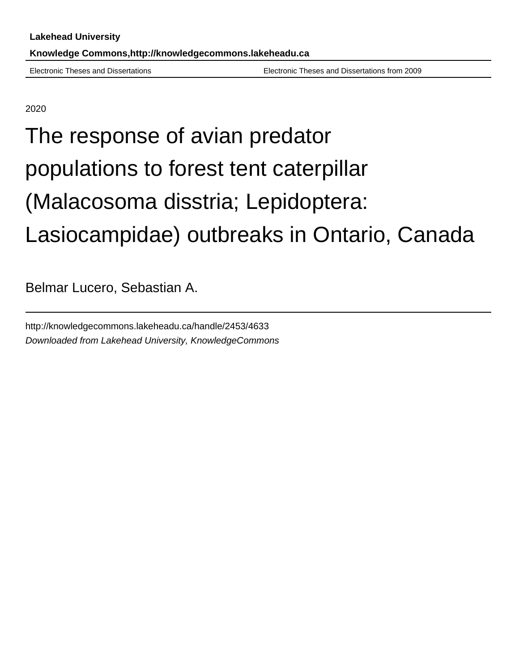Electronic Theses and Dissertations Electronic Theses and Dissertations from 2009

2020

# The response of avian predator populations to forest tent caterpillar (Malacosoma disstria; Lepidoptera: Lasiocampidae) outbreaks in Ontario, Canada

Belmar Lucero, Sebastian A.

http://knowledgecommons.lakeheadu.ca/handle/2453/4633 Downloaded from Lakehead University, KnowledgeCommons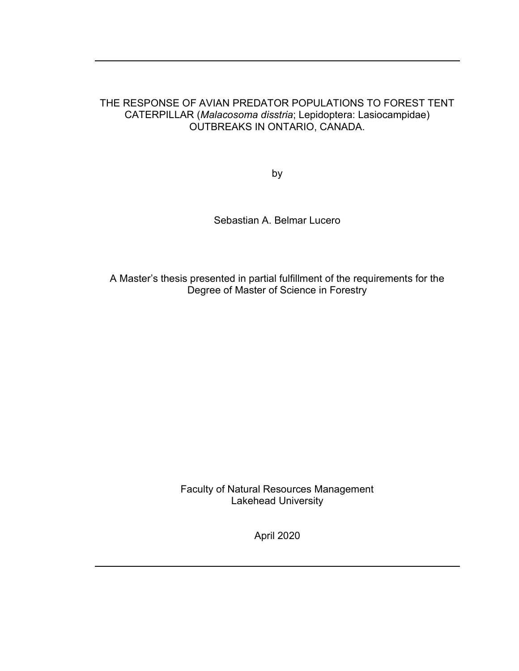### THE RESPONSE OF AVIAN PREDATOR POPULATIONS TO FOREST TENT CATERPILLAR (Malacosoma disstria; Lepidoptera: Lasiocampidae) OUTBREAKS IN ONTARIO, CANADA.

by

Sebastian A. Belmar Lucero

A Master's thesis presented in partial fulfillment of the requirements for the Degree of Master of Science in Forestry

> Faculty of Natural Resources Management Lakehead University

> > April 2020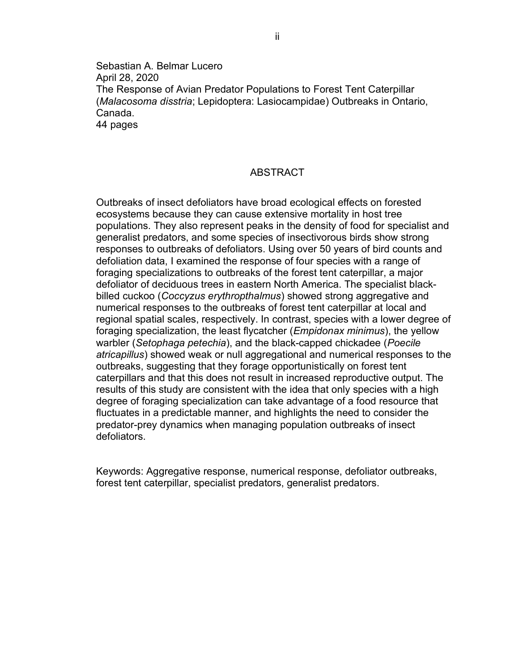Sebastian A. Belmar Lucero April 28, 2020 The Response of Avian Predator Populations to Forest Tent Caterpillar (Malacosoma disstria; Lepidoptera: Lasiocampidae) Outbreaks in Ontario, Canada. 44 pages

#### ABSTRACT

Outbreaks of insect defoliators have broad ecological effects on forested ecosystems because they can cause extensive mortality in host tree populations. They also represent peaks in the density of food for specialist and generalist predators, and some species of insectivorous birds show strong responses to outbreaks of defoliators. Using over 50 years of bird counts and defoliation data, I examined the response of four species with a range of foraging specializations to outbreaks of the forest tent caterpillar, a major defoliator of deciduous trees in eastern North America. The specialist blackbilled cuckoo (Coccyzus erythropthalmus) showed strong aggregative and numerical responses to the outbreaks of forest tent caterpillar at local and regional spatial scales, respectively. In contrast, species with a lower degree of foraging specialization, the least flycatcher (Empidonax minimus), the yellow warbler (Setophaga petechia), and the black-capped chickadee (Poecile atricapillus) showed weak or null aggregational and numerical responses to the outbreaks, suggesting that they forage opportunistically on forest tent caterpillars and that this does not result in increased reproductive output. The results of this study are consistent with the idea that only species with a high degree of foraging specialization can take advantage of a food resource that fluctuates in a predictable manner, and highlights the need to consider the predator-prey dynamics when managing population outbreaks of insect defoliators.

Keywords: Aggregative response, numerical response, defoliator outbreaks, forest tent caterpillar, specialist predators, generalist predators.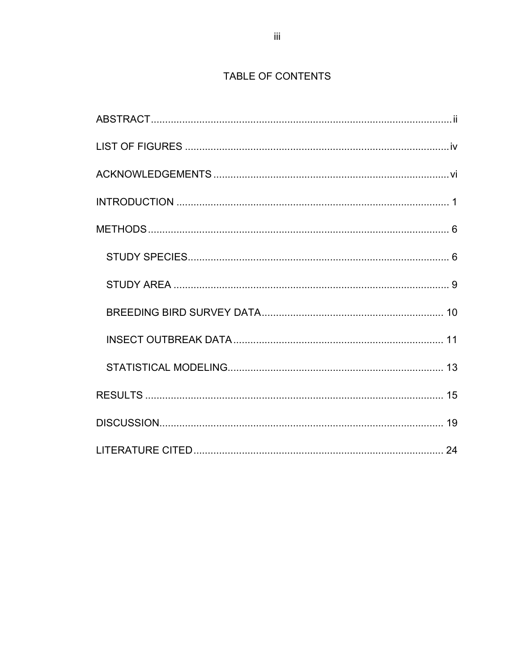# TABLE OF CONTENTS

| . 24 |  |
|------|--|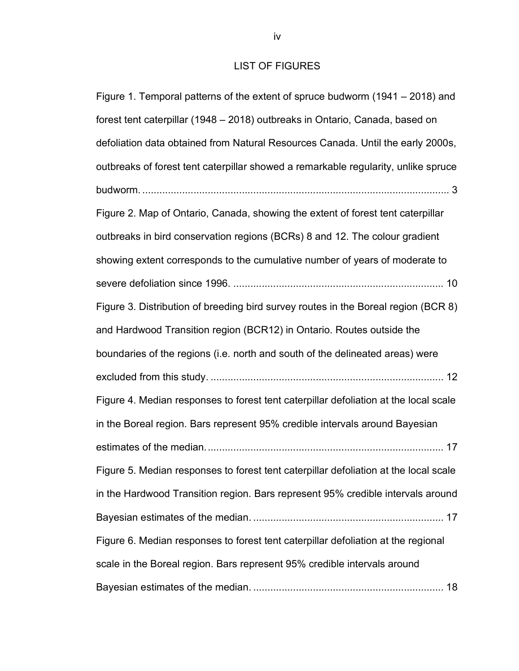## LIST OF FIGURES

| Figure 1. Temporal patterns of the extent of spruce budworm (1941 – 2018) and        |
|--------------------------------------------------------------------------------------|
| forest tent caterpillar (1948 - 2018) outbreaks in Ontario, Canada, based on         |
| defoliation data obtained from Natural Resources Canada. Until the early 2000s,      |
| outbreaks of forest tent caterpillar showed a remarkable regularity, unlike spruce   |
|                                                                                      |
| Figure 2. Map of Ontario, Canada, showing the extent of forest tent caterpillar      |
| outbreaks in bird conservation regions (BCRs) 8 and 12. The colour gradient          |
| showing extent corresponds to the cumulative number of years of moderate to          |
|                                                                                      |
| Figure 3. Distribution of breeding bird survey routes in the Boreal region (BCR 8)   |
| and Hardwood Transition region (BCR12) in Ontario. Routes outside the                |
| boundaries of the regions (i.e. north and south of the delineated areas) were        |
|                                                                                      |
| Figure 4. Median responses to forest tent caterpillar defoliation at the local scale |
| in the Boreal region. Bars represent 95% credible intervals around Bayesian          |
|                                                                                      |
| Figure 5. Median responses to forest tent caterpillar defoliation at the local scale |
| in the Hardwood Transition region. Bars represent 95% credible intervals around      |
|                                                                                      |
| Figure 6. Median responses to forest tent caterpillar defoliation at the regional    |
| scale in the Boreal region. Bars represent 95% credible intervals around             |
|                                                                                      |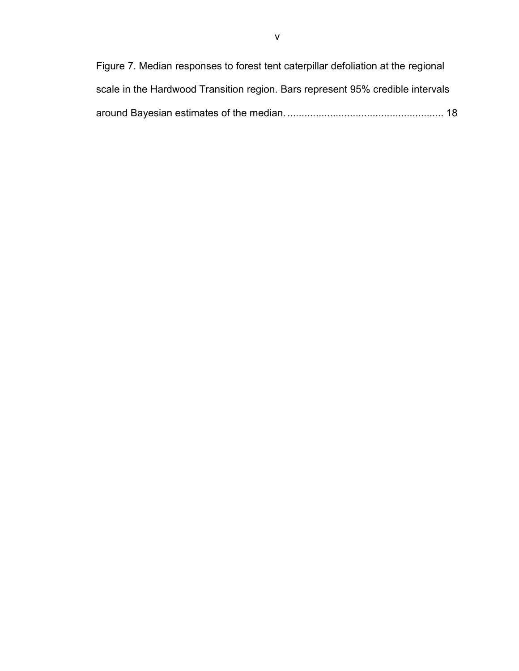| Figure 7. Median responses to forest tent caterpillar defoliation at the regional |  |
|-----------------------------------------------------------------------------------|--|
| scale in the Hardwood Transition region. Bars represent 95% credible intervals    |  |
|                                                                                   |  |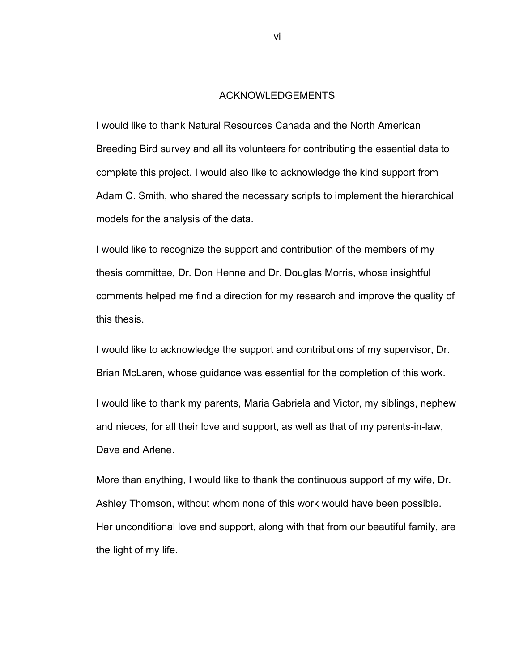#### ACKNOWLEDGEMENTS

I would like to thank Natural Resources Canada and the North American Breeding Bird survey and all its volunteers for contributing the essential data to complete this project. I would also like to acknowledge the kind support from Adam C. Smith, who shared the necessary scripts to implement the hierarchical models for the analysis of the data.

I would like to recognize the support and contribution of the members of my thesis committee, Dr. Don Henne and Dr. Douglas Morris, whose insightful comments helped me find a direction for my research and improve the quality of this thesis.

I would like to acknowledge the support and contributions of my supervisor, Dr. Brian McLaren, whose guidance was essential for the completion of this work.

I would like to thank my parents, Maria Gabriela and Victor, my siblings, nephew and nieces, for all their love and support, as well as that of my parents-in-law, Dave and Arlene.

More than anything, I would like to thank the continuous support of my wife, Dr. Ashley Thomson, without whom none of this work would have been possible. Her unconditional love and support, along with that from our beautiful family, are the light of my life.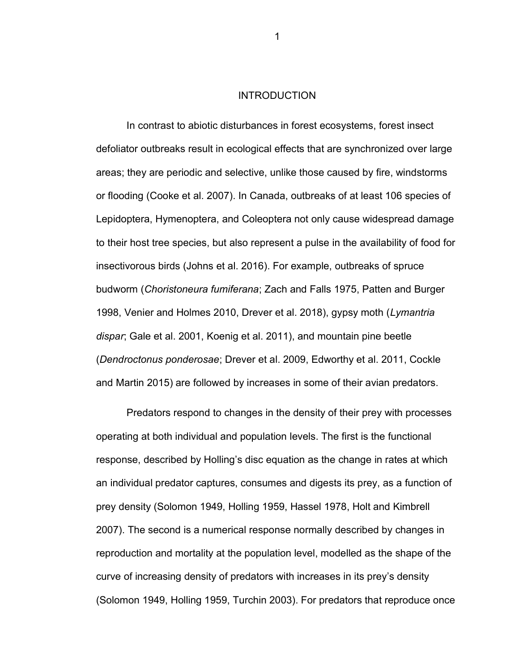#### **INTRODUCTION**

In contrast to abiotic disturbances in forest ecosystems, forest insect defoliator outbreaks result in ecological effects that are synchronized over large areas; they are periodic and selective, unlike those caused by fire, windstorms or flooding (Cooke et al. 2007). In Canada, outbreaks of at least 106 species of Lepidoptera, Hymenoptera, and Coleoptera not only cause widespread damage to their host tree species, but also represent a pulse in the availability of food for insectivorous birds (Johns et al. 2016). For example, outbreaks of spruce budworm (Choristoneura fumiferana; Zach and Falls 1975, Patten and Burger 1998, Venier and Holmes 2010, Drever et al. 2018), gypsy moth (Lymantria dispar; Gale et al. 2001, Koenig et al. 2011), and mountain pine beetle (Dendroctonus ponderosae; Drever et al. 2009, Edworthy et al. 2011, Cockle and Martin 2015) are followed by increases in some of their avian predators.

Predators respond to changes in the density of their prey with processes operating at both individual and population levels. The first is the functional response, described by Holling's disc equation as the change in rates at which an individual predator captures, consumes and digests its prey, as a function of prey density (Solomon 1949, Holling 1959, Hassel 1978, Holt and Kimbrell 2007). The second is a numerical response normally described by changes in reproduction and mortality at the population level, modelled as the shape of the curve of increasing density of predators with increases in its prey's density (Solomon 1949, Holling 1959, Turchin 2003). For predators that reproduce once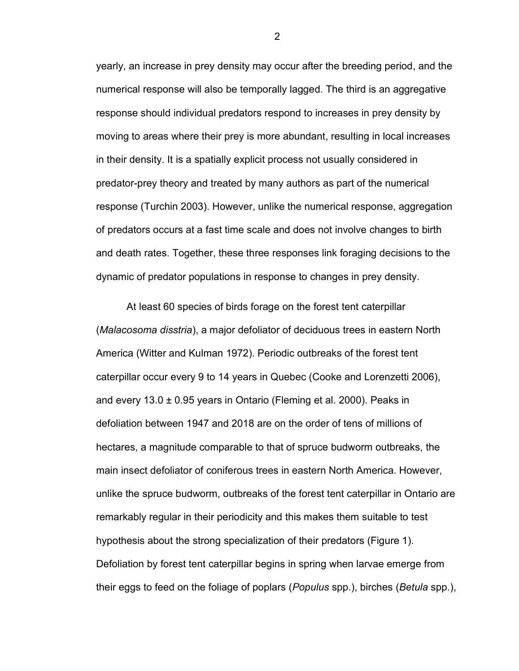yearly, an increase in prey density may occur after the breeding period, and the numerical response will also be temporally lagged. The third is an aggregative response should individual predators respond to increases in prey density by moving to areas where their prey is more abundant, resulting in local increases in their density. It is a spatially explicit process not usually considered in predator-prey theory and treated by many authors as part of the numerical response (Turchin 2003). However, unlike the numerical response, aggregation of predators occurs at a fast time scale and does not involve changes to birth and death rates. Together, these three responses link foraging decisions to the dynamic of predator populations in response to changes in prey density.

At least 60 species of birds forage on the forest tent caterpillar (Malacosoma disstria), a major defoliator of deciduous trees in eastern North America (Witter and Kulman 1972). Periodic outbreaks of the forest tent caterpillar occur every 9 to 14 years in Quebec (Cooke and Lorenzetti 2006), and every  $13.0 \pm 0.95$  years in Ontario (Fleming et al. 2000). Peaks in defoliation between 1947 and 2018 are on the order of tens of millions of hectares, a magnitude comparable to that of spruce budworm outbreaks, the main insect defoliator of coniferous trees in eastern North America. However, unlike the spruce budworm, outbreaks of the forest tent caterpillar in Ontario are remarkably regular in their periodicity and this makes them suitable to test hypothesis about the strong specialization of their predators (Figure 1). Defoliation by forest tent caterpillar begins in spring when larvae emerge from their eggs to feed on the foliage of poplars (Populus spp.), birches (Betula spp.),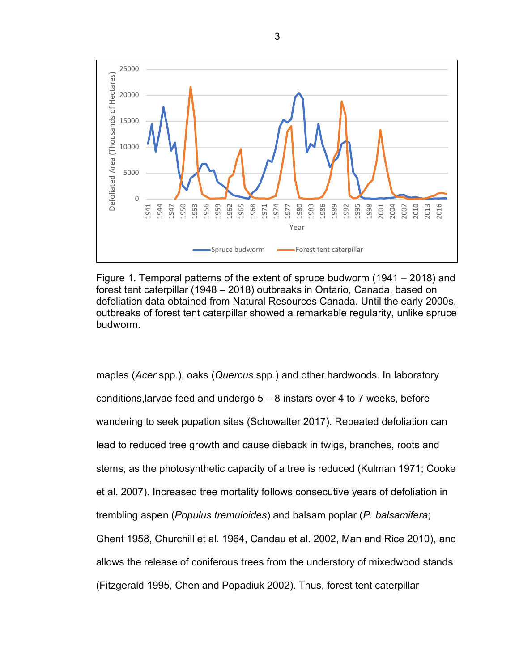

Figure 1. Temporal patterns of the extent of spruce budworm (1941 – 2018) and forest tent caterpillar (1948 – 2018) outbreaks in Ontario, Canada, based on defoliation data obtained from Natural Resources Canada. Until the early 2000s, outbreaks of forest tent caterpillar showed a remarkable regularity, unlike spruce budworm.

maples (Acer spp.), oaks (Quercus spp.) and other hardwoods. In laboratory conditions,larvae feed and undergo 5 – 8 instars over 4 to 7 weeks, before wandering to seek pupation sites (Schowalter 2017). Repeated defoliation can lead to reduced tree growth and cause dieback in twigs, branches, roots and stems, as the photosynthetic capacity of a tree is reduced (Kulman 1971; Cooke et al. 2007). Increased tree mortality follows consecutive years of defoliation in trembling aspen (Populus tremuloides) and balsam poplar (P. balsamifera; Ghent 1958, Churchill et al. 1964, Candau et al. 2002, Man and Rice 2010), and allows the release of coniferous trees from the understory of mixedwood stands (Fitzgerald 1995, Chen and Popadiuk 2002). Thus, forest tent caterpillar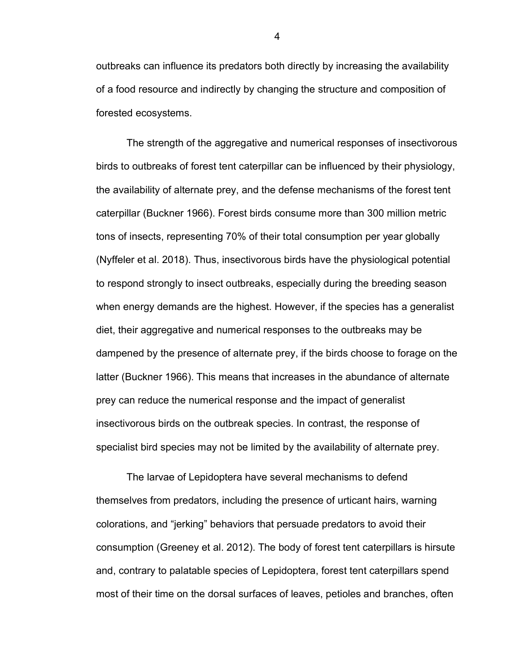outbreaks can influence its predators both directly by increasing the availability of a food resource and indirectly by changing the structure and composition of forested ecosystems.

The strength of the aggregative and numerical responses of insectivorous birds to outbreaks of forest tent caterpillar can be influenced by their physiology, the availability of alternate prey, and the defense mechanisms of the forest tent caterpillar (Buckner 1966). Forest birds consume more than 300 million metric tons of insects, representing 70% of their total consumption per year globally (Nyffeler et al. 2018). Thus, insectivorous birds have the physiological potential to respond strongly to insect outbreaks, especially during the breeding season when energy demands are the highest. However, if the species has a generalist diet, their aggregative and numerical responses to the outbreaks may be dampened by the presence of alternate prey, if the birds choose to forage on the latter (Buckner 1966). This means that increases in the abundance of alternate prey can reduce the numerical response and the impact of generalist insectivorous birds on the outbreak species. In contrast, the response of specialist bird species may not be limited by the availability of alternate prey.

The larvae of Lepidoptera have several mechanisms to defend themselves from predators, including the presence of urticant hairs, warning colorations, and "jerking" behaviors that persuade predators to avoid their consumption (Greeney et al. 2012). The body of forest tent caterpillars is hirsute and, contrary to palatable species of Lepidoptera, forest tent caterpillars spend most of their time on the dorsal surfaces of leaves, petioles and branches, often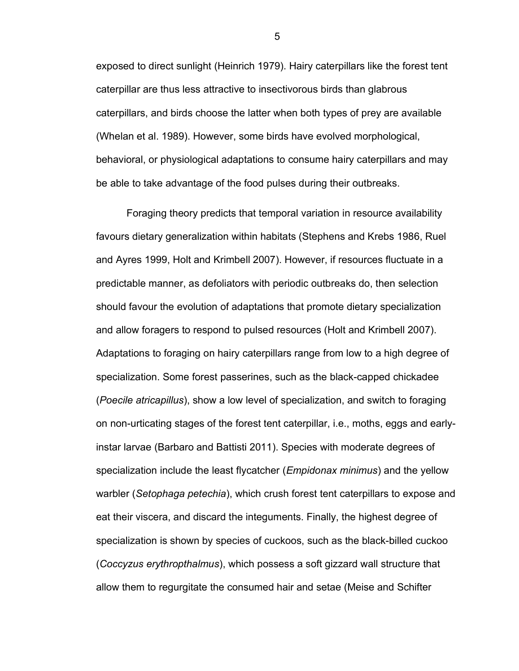exposed to direct sunlight (Heinrich 1979). Hairy caterpillars like the forest tent caterpillar are thus less attractive to insectivorous birds than glabrous caterpillars, and birds choose the latter when both types of prey are available (Whelan et al. 1989). However, some birds have evolved morphological, behavioral, or physiological adaptations to consume hairy caterpillars and may be able to take advantage of the food pulses during their outbreaks.

Foraging theory predicts that temporal variation in resource availability favours dietary generalization within habitats (Stephens and Krebs 1986, Ruel and Ayres 1999, Holt and Krimbell 2007). However, if resources fluctuate in a predictable manner, as defoliators with periodic outbreaks do, then selection should favour the evolution of adaptations that promote dietary specialization and allow foragers to respond to pulsed resources (Holt and Krimbell 2007). Adaptations to foraging on hairy caterpillars range from low to a high degree of specialization. Some forest passerines, such as the black-capped chickadee (Poecile atricapillus), show a low level of specialization, and switch to foraging on non-urticating stages of the forest tent caterpillar, i.e., moths, eggs and earlyinstar larvae (Barbaro and Battisti 2011). Species with moderate degrees of specialization include the least flycatcher (*Empidonax minimus*) and the yellow warbler (Setophaga petechia), which crush forest tent caterpillars to expose and eat their viscera, and discard the integuments. Finally, the highest degree of specialization is shown by species of cuckoos, such as the black-billed cuckoo (Coccyzus erythropthalmus), which possess a soft gizzard wall structure that allow them to regurgitate the consumed hair and setae (Meise and Schifter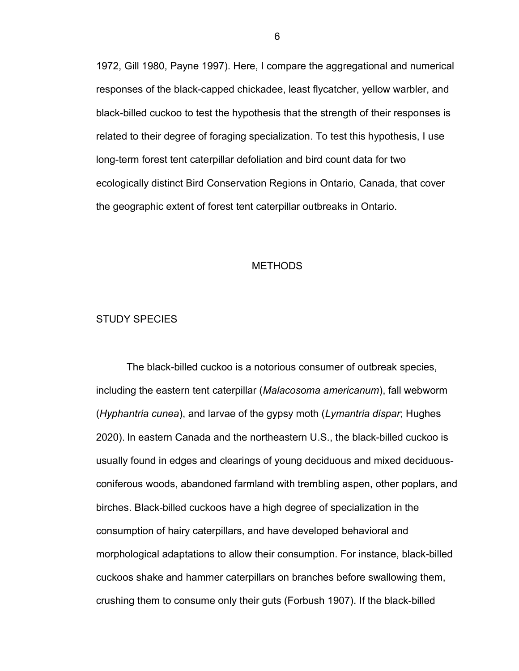1972, Gill 1980, Payne 1997). Here, I compare the aggregational and numerical responses of the black-capped chickadee, least flycatcher, yellow warbler, and black-billed cuckoo to test the hypothesis that the strength of their responses is related to their degree of foraging specialization. To test this hypothesis, I use long-term forest tent caterpillar defoliation and bird count data for two ecologically distinct Bird Conservation Regions in Ontario, Canada, that cover the geographic extent of forest tent caterpillar outbreaks in Ontario.

#### **METHODS**

#### STUDY SPECIES

 The black-billed cuckoo is a notorious consumer of outbreak species, including the eastern tent caterpillar (Malacosoma americanum), fall webworm (Hyphantria cunea), and larvae of the gypsy moth (Lymantria dispar; Hughes 2020). In eastern Canada and the northeastern U.S., the black-billed cuckoo is usually found in edges and clearings of young deciduous and mixed deciduousconiferous woods, abandoned farmland with trembling aspen, other poplars, and birches. Black-billed cuckoos have a high degree of specialization in the consumption of hairy caterpillars, and have developed behavioral and morphological adaptations to allow their consumption. For instance, black-billed cuckoos shake and hammer caterpillars on branches before swallowing them, crushing them to consume only their guts (Forbush 1907). If the black-billed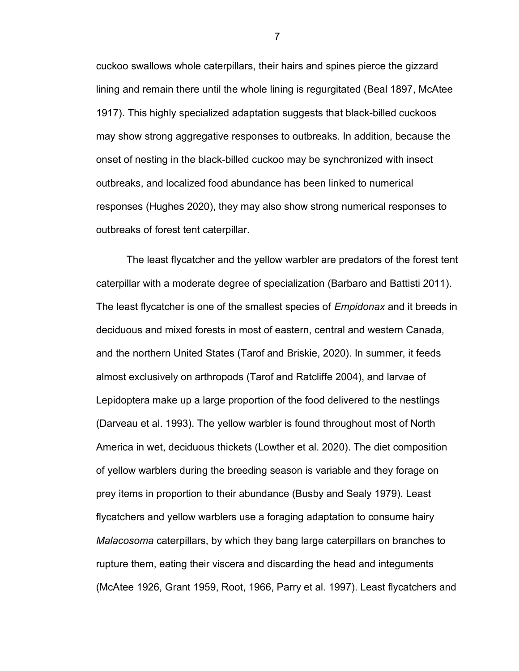cuckoo swallows whole caterpillars, their hairs and spines pierce the gizzard lining and remain there until the whole lining is regurgitated (Beal 1897, McAtee 1917). This highly specialized adaptation suggests that black-billed cuckoos may show strong aggregative responses to outbreaks. In addition, because the onset of nesting in the black-billed cuckoo may be synchronized with insect outbreaks, and localized food abundance has been linked to numerical responses (Hughes 2020), they may also show strong numerical responses to outbreaks of forest tent caterpillar.

The least flycatcher and the yellow warbler are predators of the forest tent caterpillar with a moderate degree of specialization (Barbaro and Battisti 2011). The least flycatcher is one of the smallest species of *Empidonax* and it breeds in deciduous and mixed forests in most of eastern, central and western Canada, and the northern United States (Tarof and Briskie, 2020). In summer, it feeds almost exclusively on arthropods (Tarof and Ratcliffe 2004), and larvae of Lepidoptera make up a large proportion of the food delivered to the nestlings (Darveau et al. 1993). The yellow warbler is found throughout most of North America in wet, deciduous thickets (Lowther et al. 2020). The diet composition of yellow warblers during the breeding season is variable and they forage on prey items in proportion to their abundance (Busby and Sealy 1979). Least flycatchers and yellow warblers use a foraging adaptation to consume hairy Malacosoma caterpillars, by which they bang large caterpillars on branches to rupture them, eating their viscera and discarding the head and integuments (McAtee 1926, Grant 1959, Root, 1966, Parry et al. 1997). Least flycatchers and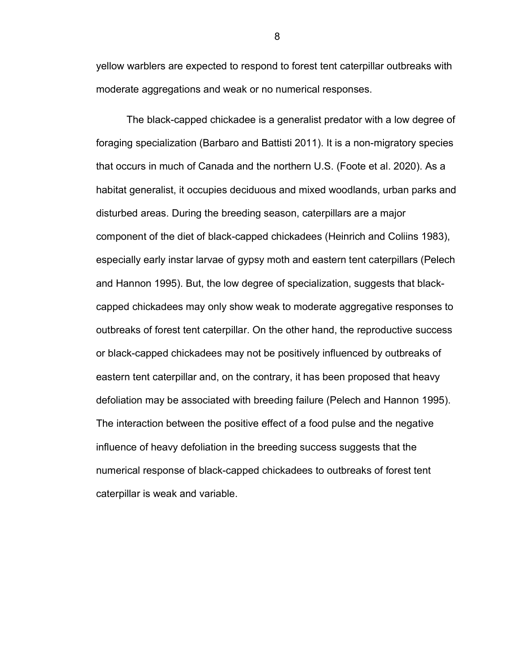yellow warblers are expected to respond to forest tent caterpillar outbreaks with moderate aggregations and weak or no numerical responses.

The black-capped chickadee is a generalist predator with a low degree of foraging specialization (Barbaro and Battisti 2011). It is a non-migratory species that occurs in much of Canada and the northern U.S. (Foote et al. 2020). As a habitat generalist, it occupies deciduous and mixed woodlands, urban parks and disturbed areas. During the breeding season, caterpillars are a major component of the diet of black-capped chickadees (Heinrich and Coliins 1983), especially early instar larvae of gypsy moth and eastern tent caterpillars (Pelech and Hannon 1995). But, the low degree of specialization, suggests that blackcapped chickadees may only show weak to moderate aggregative responses to outbreaks of forest tent caterpillar. On the other hand, the reproductive success or black-capped chickadees may not be positively influenced by outbreaks of eastern tent caterpillar and, on the contrary, it has been proposed that heavy defoliation may be associated with breeding failure (Pelech and Hannon 1995). The interaction between the positive effect of a food pulse and the negative influence of heavy defoliation in the breeding success suggests that the numerical response of black-capped chickadees to outbreaks of forest tent caterpillar is weak and variable.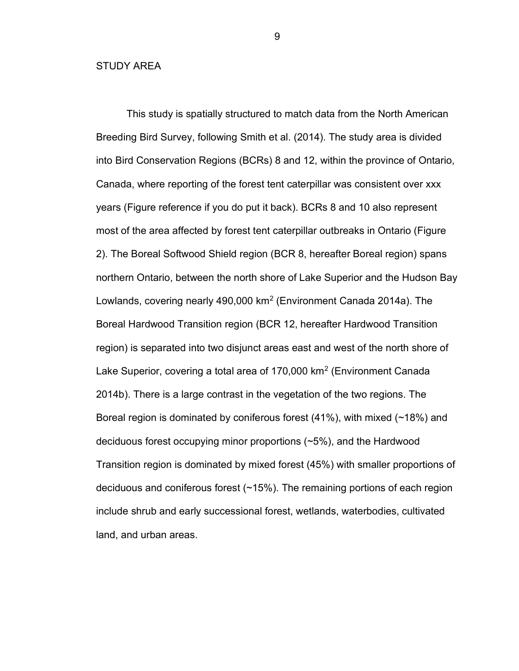#### STUDY AREA

This study is spatially structured to match data from the North American Breeding Bird Survey, following Smith et al. (2014). The study area is divided into Bird Conservation Regions (BCRs) 8 and 12, within the province of Ontario, Canada, where reporting of the forest tent caterpillar was consistent over xxx years (Figure reference if you do put it back). BCRs 8 and 10 also represent most of the area affected by forest tent caterpillar outbreaks in Ontario (Figure 2). The Boreal Softwood Shield region (BCR 8, hereafter Boreal region) spans northern Ontario, between the north shore of Lake Superior and the Hudson Bay Lowlands, covering nearly 490,000 km<sup>2</sup> (Environment Canada 2014a). The Boreal Hardwood Transition region (BCR 12, hereafter Hardwood Transition region) is separated into two disjunct areas east and west of the north shore of Lake Superior, covering a total area of 170,000 km<sup>2</sup> (Environment Canada 2014b). There is a large contrast in the vegetation of the two regions. The Boreal region is dominated by coniferous forest (41%), with mixed (~18%) and deciduous forest occupying minor proportions (~5%), and the Hardwood Transition region is dominated by mixed forest (45%) with smaller proportions of deciduous and coniferous forest (~15%). The remaining portions of each region include shrub and early successional forest, wetlands, waterbodies, cultivated land, and urban areas.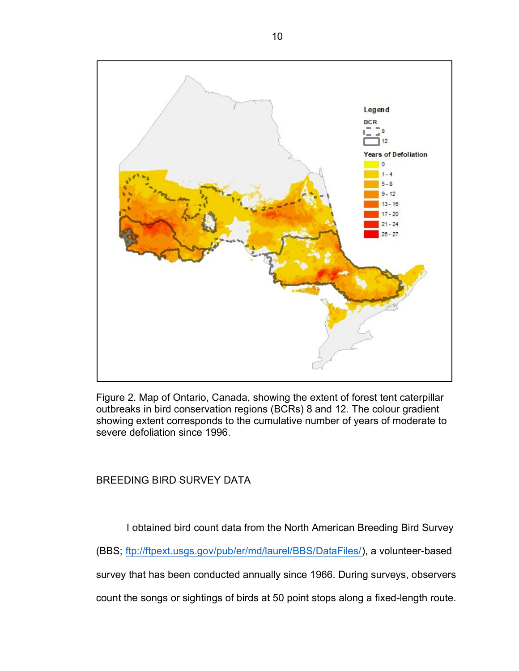

Figure 2. Map of Ontario, Canada, showing the extent of forest tent caterpillar outbreaks in bird conservation regions (BCRs) 8 and 12. The colour gradient showing extent corresponds to the cumulative number of years of moderate to severe defoliation since 1996.

BREEDING BIRD SURVEY DATA

I obtained bird count data from the North American Breeding Bird Survey

(BBS; ftp://ftpext.usgs.gov/pub/er/md/laurel/BBS/DataFiles/), a volunteer-based

survey that has been conducted annually since 1966. During surveys, observers

count the songs or sightings of birds at 50 point stops along a fixed-length route.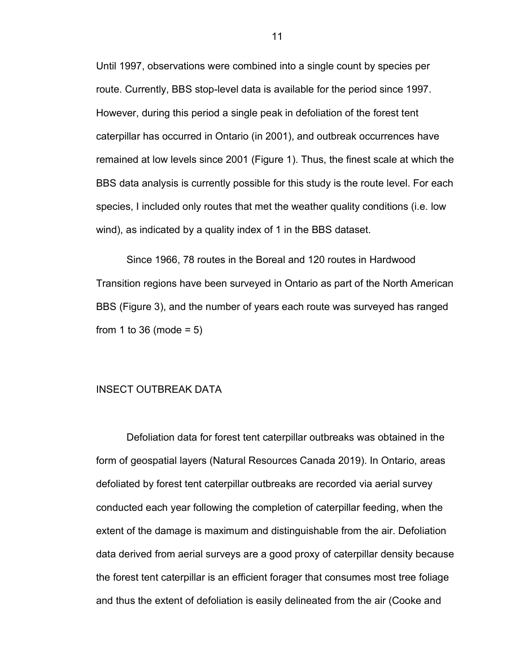Until 1997, observations were combined into a single count by species per route. Currently, BBS stop-level data is available for the period since 1997. However, during this period a single peak in defoliation of the forest tent caterpillar has occurred in Ontario (in 2001), and outbreak occurrences have remained at low levels since 2001 (Figure 1). Thus, the finest scale at which the BBS data analysis is currently possible for this study is the route level. For each species, I included only routes that met the weather quality conditions (i.e. low wind), as indicated by a quality index of 1 in the BBS dataset.

Since 1966, 78 routes in the Boreal and 120 routes in Hardwood Transition regions have been surveyed in Ontario as part of the North American BBS (Figure 3), and the number of years each route was surveyed has ranged from 1 to 36 (mode  $= 5$ )

#### INSECT OUTBREAK DATA

Defoliation data for forest tent caterpillar outbreaks was obtained in the form of geospatial layers (Natural Resources Canada 2019). In Ontario, areas defoliated by forest tent caterpillar outbreaks are recorded via aerial survey conducted each year following the completion of caterpillar feeding, when the extent of the damage is maximum and distinguishable from the air. Defoliation data derived from aerial surveys are a good proxy of caterpillar density because the forest tent caterpillar is an efficient forager that consumes most tree foliage and thus the extent of defoliation is easily delineated from the air (Cooke and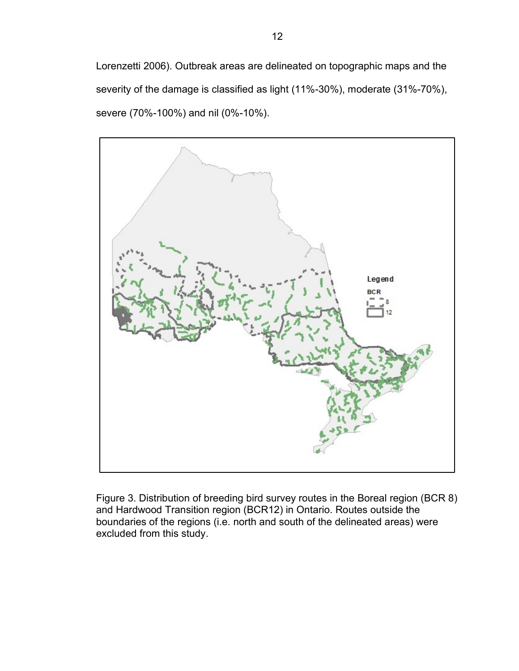Lorenzetti 2006). Outbreak areas are delineated on topographic maps and the severity of the damage is classified as light (11%-30%), moderate (31%-70%), severe (70%-100%) and nil (0%-10%).



Figure 3. Distribution of breeding bird survey routes in the Boreal region (BCR 8) and Hardwood Transition region (BCR12) in Ontario. Routes outside the boundaries of the regions (i.e. north and south of the delineated areas) were excluded from this study.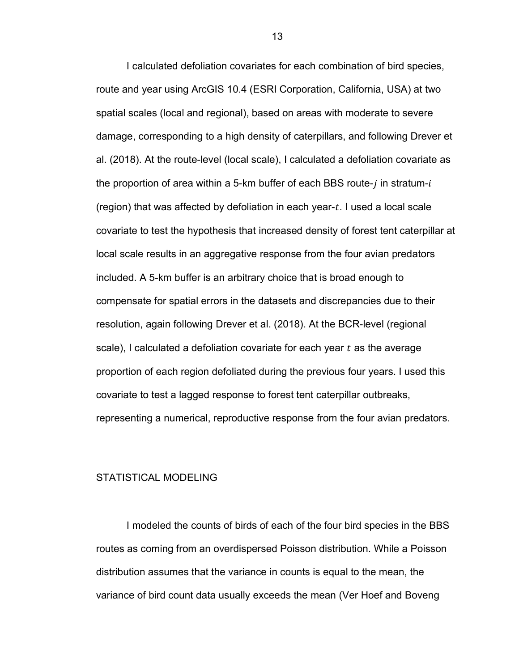I calculated defoliation covariates for each combination of bird species, route and year using ArcGIS 10.4 (ESRI Corporation, California, USA) at two spatial scales (local and regional), based on areas with moderate to severe damage, corresponding to a high density of caterpillars, and following Drever et al. (2018). At the route-level (local scale), I calculated a defoliation covariate as the proportion of area within a 5-km buffer of each BBS route- $i$  in stratum- $i$ (region) that was affected by defoliation in each year- $t$ . I used a local scale covariate to test the hypothesis that increased density of forest tent caterpillar at local scale results in an aggregative response from the four avian predators included. A 5-km buffer is an arbitrary choice that is broad enough to compensate for spatial errors in the datasets and discrepancies due to their resolution, again following Drever et al. (2018). At the BCR-level (regional scale), I calculated a defoliation covariate for each year  $t$  as the average proportion of each region defoliated during the previous four years. I used this covariate to test a lagged response to forest tent caterpillar outbreaks, representing a numerical, reproductive response from the four avian predators.

#### STATISTICAL MODELING

I modeled the counts of birds of each of the four bird species in the BBS routes as coming from an overdispersed Poisson distribution. While a Poisson distribution assumes that the variance in counts is equal to the mean, the variance of bird count data usually exceeds the mean (Ver Hoef and Boveng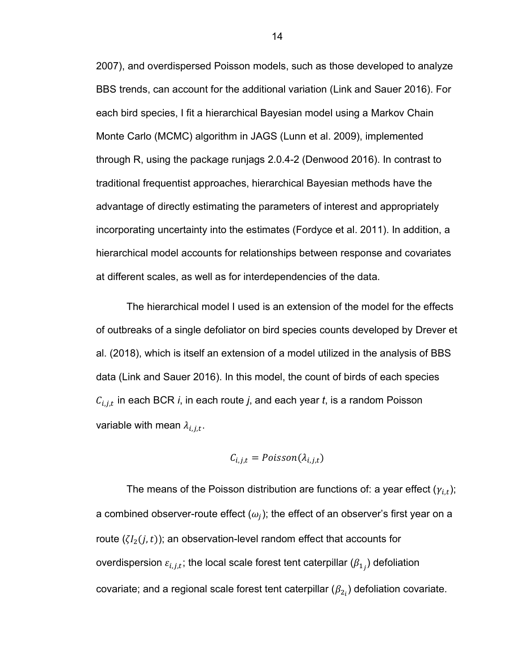2007), and overdispersed Poisson models, such as those developed to analyze BBS trends, can account for the additional variation (Link and Sauer 2016). For each bird species, I fit a hierarchical Bayesian model using a Markov Chain Monte Carlo (MCMC) algorithm in JAGS (Lunn et al. 2009), implemented through R, using the package runjags 2.0.4-2 (Denwood 2016). In contrast to traditional frequentist approaches, hierarchical Bayesian methods have the advantage of directly estimating the parameters of interest and appropriately incorporating uncertainty into the estimates (Fordyce et al. 2011). In addition, a hierarchical model accounts for relationships between response and covariates at different scales, as well as for interdependencies of the data.

The hierarchical model I used is an extension of the model for the effects of outbreaks of a single defoliator on bird species counts developed by Drever et al. (2018), which is itself an extension of a model utilized in the analysis of BBS data (Link and Sauer 2016). In this model, the count of birds of each species  $\mathcal{C}_{i,j,t}$  in each BCR  $i$ , in each route  $j$ , and each year  $t$ , is a random Poisson variable with mean  $\lambda_{i,j,t}$ .

$$
C_{i,j,t} = Poisson(\lambda_{i,j,t})
$$

The means of the Poisson distribution are functions of: a year effect  $(\gamma_{i,t})$ ; a combined observer-route effect  $(\omega_i)$ ; the effect of an observer's first year on a route  $(\zeta I_2(j,t))$ ; an observation-level random effect that accounts for overdispersion  $\varepsilon_{i,j,t}$ ; the local scale forest tent caterpillar  $(\beta_{1_j})$  defoliation covariate; and a regional scale forest tent caterpillar  $(\beta_{2_i})$  defoliation covariate.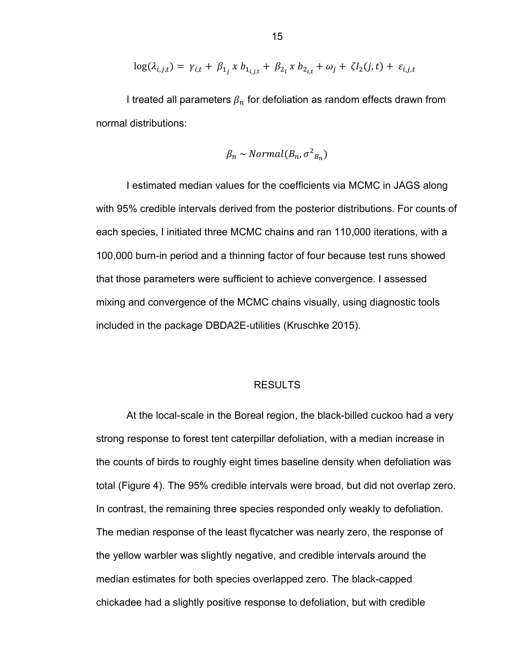$$
\log(\lambda_{i,j,t}) = \gamma_{i,t} + \beta_{1j} x b_{1_{i,j,t}} + \beta_{2i} x b_{2_{i,t}} + \omega_j + \zeta I_2(j,t) + \varepsilon_{i,j,t}
$$

I treated all parameters  $\beta_n$  for defoliation as random effects drawn from normal distributions:

$$
\beta_n \sim Normal(B_n, \sigma^2_{B_n})
$$

I estimated median values for the coefficients via MCMC in JAGS along with 95% credible intervals derived from the posterior distributions. For counts of each species, I initiated three MCMC chains and ran 110,000 iterations, with a 100,000 burn-in period and a thinning factor of four because test runs showed that those parameters were sufficient to achieve convergence. I assessed mixing and convergence of the MCMC chains visually, using diagnostic tools included in the package DBDA2E-utilities (Kruschke 2015).

#### RESULTS

At the local-scale in the Boreal region, the black-billed cuckoo had a very strong response to forest tent caterpillar defoliation, with a median increase in the counts of birds to roughly eight times baseline density when defoliation was total (Figure 4). The 95% credible intervals were broad, but did not overlap zero. In contrast, the remaining three species responded only weakly to defoliation. The median response of the least flycatcher was nearly zero, the response of the yellow warbler was slightly negative, and credible intervals around the median estimates for both species overlapped zero. The black-capped chickadee had a slightly positive response to defoliation, but with credible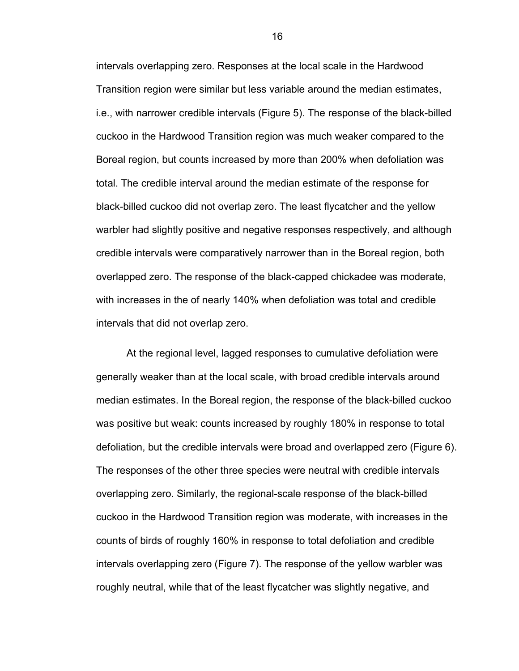intervals overlapping zero. Responses at the local scale in the Hardwood Transition region were similar but less variable around the median estimates, i.e., with narrower credible intervals (Figure 5). The response of the black-billed cuckoo in the Hardwood Transition region was much weaker compared to the Boreal region, but counts increased by more than 200% when defoliation was total. The credible interval around the median estimate of the response for black-billed cuckoo did not overlap zero. The least flycatcher and the yellow warbler had slightly positive and negative responses respectively, and although credible intervals were comparatively narrower than in the Boreal region, both overlapped zero. The response of the black-capped chickadee was moderate, with increases in the of nearly 140% when defoliation was total and credible intervals that did not overlap zero.

At the regional level, lagged responses to cumulative defoliation were generally weaker than at the local scale, with broad credible intervals around median estimates. In the Boreal region, the response of the black-billed cuckoo was positive but weak: counts increased by roughly 180% in response to total defoliation, but the credible intervals were broad and overlapped zero (Figure 6). The responses of the other three species were neutral with credible intervals overlapping zero. Similarly, the regional-scale response of the black-billed cuckoo in the Hardwood Transition region was moderate, with increases in the counts of birds of roughly 160% in response to total defoliation and credible intervals overlapping zero (Figure 7). The response of the yellow warbler was roughly neutral, while that of the least flycatcher was slightly negative, and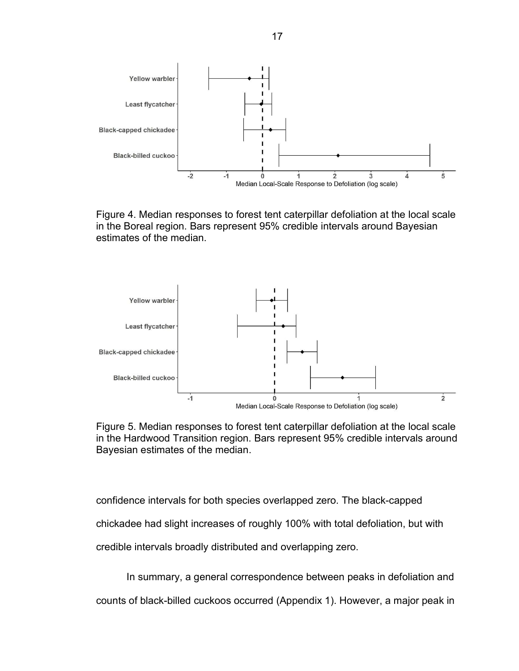

Figure 4. Median responses to forest tent caterpillar defoliation at the local scale in the Boreal region. Bars represent 95% credible intervals around Bayesian estimates of the median.



Figure 5. Median responses to forest tent caterpillar defoliation at the local scale in the Hardwood Transition region. Bars represent 95% credible intervals around Bayesian estimates of the median.

confidence intervals for both species overlapped zero. The black-capped

chickadee had slight increases of roughly 100% with total defoliation, but with

credible intervals broadly distributed and overlapping zero.

In summary, a general correspondence between peaks in defoliation and

counts of black-billed cuckoos occurred (Appendix 1). However, a major peak in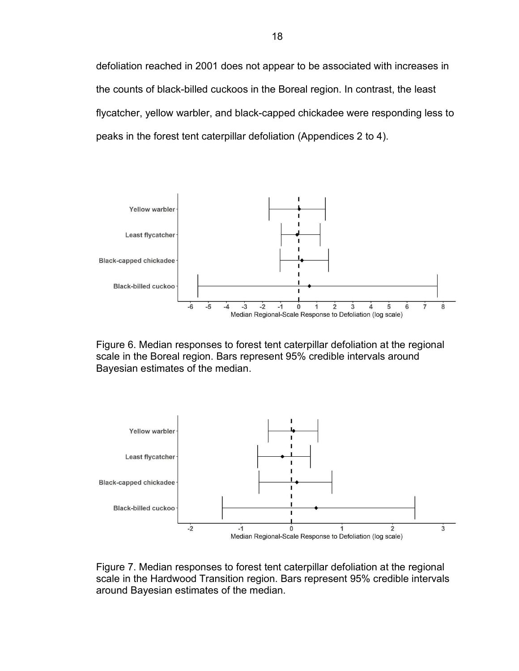defoliation reached in 2001 does not appear to be associated with increases in the counts of black-billed cuckoos in the Boreal region. In contrast, the least flycatcher, yellow warbler, and black-capped chickadee were responding less to peaks in the forest tent caterpillar defoliation (Appendices 2 to 4).



Figure 6. Median responses to forest tent caterpillar defoliation at the regional scale in the Boreal region. Bars represent 95% credible intervals around Bayesian estimates of the median.



Figure 7. Median responses to forest tent caterpillar defoliation at the regional scale in the Hardwood Transition region. Bars represent 95% credible intervals around Bayesian estimates of the median.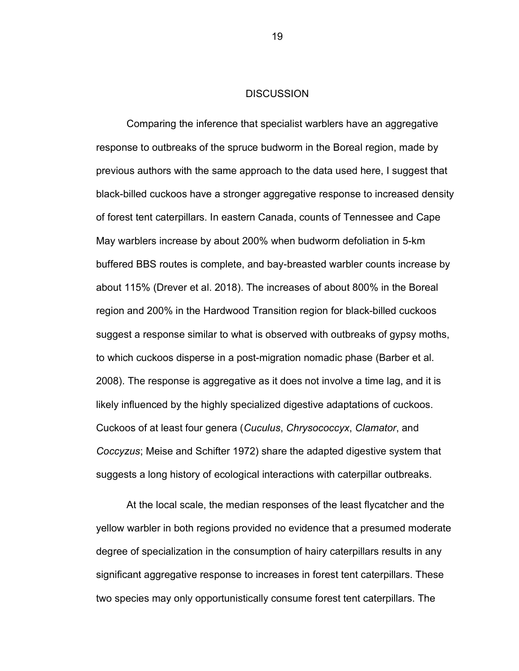#### **DISCUSSION**

Comparing the inference that specialist warblers have an aggregative response to outbreaks of the spruce budworm in the Boreal region, made by previous authors with the same approach to the data used here, I suggest that black-billed cuckoos have a stronger aggregative response to increased density of forest tent caterpillars. In eastern Canada, counts of Tennessee and Cape May warblers increase by about 200% when budworm defoliation in 5-km buffered BBS routes is complete, and bay-breasted warbler counts increase by about 115% (Drever et al. 2018). The increases of about 800% in the Boreal region and 200% in the Hardwood Transition region for black-billed cuckoos suggest a response similar to what is observed with outbreaks of gypsy moths, to which cuckoos disperse in a post-migration nomadic phase (Barber et al. 2008). The response is aggregative as it does not involve a time lag, and it is likely influenced by the highly specialized digestive adaptations of cuckoos. Cuckoos of at least four genera (Cuculus, Chrysococcyx, Clamator, and Coccyzus; Meise and Schifter 1972) share the adapted digestive system that suggests a long history of ecological interactions with caterpillar outbreaks.

At the local scale, the median responses of the least flycatcher and the yellow warbler in both regions provided no evidence that a presumed moderate degree of specialization in the consumption of hairy caterpillars results in any significant aggregative response to increases in forest tent caterpillars. These two species may only opportunistically consume forest tent caterpillars. The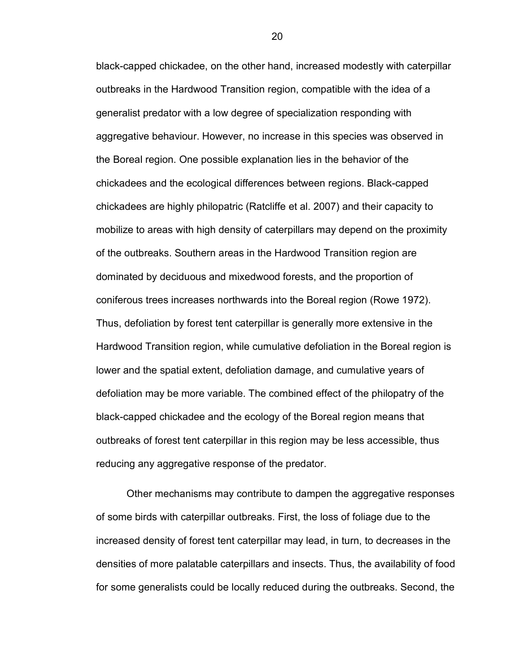black-capped chickadee, on the other hand, increased modestly with caterpillar outbreaks in the Hardwood Transition region, compatible with the idea of a generalist predator with a low degree of specialization responding with aggregative behaviour. However, no increase in this species was observed in the Boreal region. One possible explanation lies in the behavior of the chickadees and the ecological differences between regions. Black-capped chickadees are highly philopatric (Ratcliffe et al. 2007) and their capacity to mobilize to areas with high density of caterpillars may depend on the proximity of the outbreaks. Southern areas in the Hardwood Transition region are dominated by deciduous and mixedwood forests, and the proportion of coniferous trees increases northwards into the Boreal region (Rowe 1972). Thus, defoliation by forest tent caterpillar is generally more extensive in the Hardwood Transition region, while cumulative defoliation in the Boreal region is lower and the spatial extent, defoliation damage, and cumulative years of defoliation may be more variable. The combined effect of the philopatry of the black-capped chickadee and the ecology of the Boreal region means that outbreaks of forest tent caterpillar in this region may be less accessible, thus reducing any aggregative response of the predator.

Other mechanisms may contribute to dampen the aggregative responses of some birds with caterpillar outbreaks. First, the loss of foliage due to the increased density of forest tent caterpillar may lead, in turn, to decreases in the densities of more palatable caterpillars and insects. Thus, the availability of food for some generalists could be locally reduced during the outbreaks. Second, the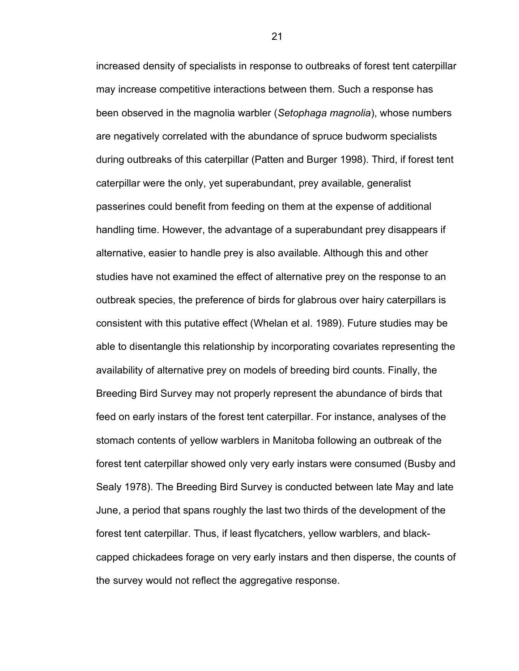increased density of specialists in response to outbreaks of forest tent caterpillar may increase competitive interactions between them. Such a response has been observed in the magnolia warbler (Setophaga magnolia), whose numbers are negatively correlated with the abundance of spruce budworm specialists during outbreaks of this caterpillar (Patten and Burger 1998). Third, if forest tent caterpillar were the only, yet superabundant, prey available, generalist passerines could benefit from feeding on them at the expense of additional handling time. However, the advantage of a superabundant prey disappears if alternative, easier to handle prey is also available. Although this and other studies have not examined the effect of alternative prey on the response to an outbreak species, the preference of birds for glabrous over hairy caterpillars is consistent with this putative effect (Whelan et al. 1989). Future studies may be able to disentangle this relationship by incorporating covariates representing the availability of alternative prey on models of breeding bird counts. Finally, the Breeding Bird Survey may not properly represent the abundance of birds that feed on early instars of the forest tent caterpillar. For instance, analyses of the stomach contents of yellow warblers in Manitoba following an outbreak of the forest tent caterpillar showed only very early instars were consumed (Busby and Sealy 1978). The Breeding Bird Survey is conducted between late May and late June, a period that spans roughly the last two thirds of the development of the forest tent caterpillar. Thus, if least flycatchers, yellow warblers, and blackcapped chickadees forage on very early instars and then disperse, the counts of the survey would not reflect the aggregative response.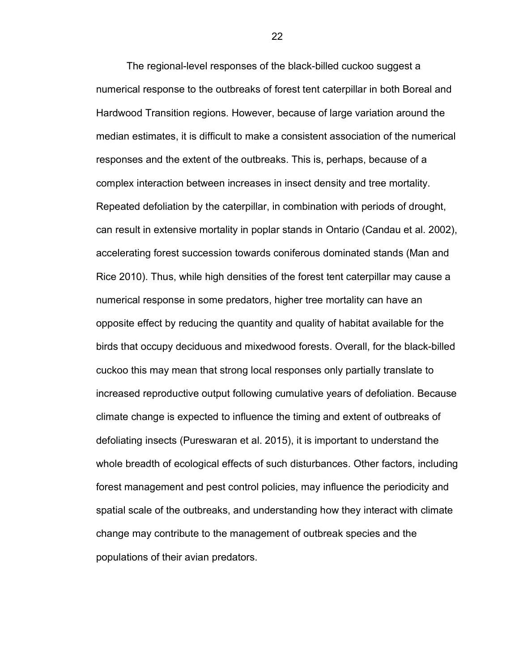The regional-level responses of the black-billed cuckoo suggest a numerical response to the outbreaks of forest tent caterpillar in both Boreal and Hardwood Transition regions. However, because of large variation around the median estimates, it is difficult to make a consistent association of the numerical responses and the extent of the outbreaks. This is, perhaps, because of a complex interaction between increases in insect density and tree mortality. Repeated defoliation by the caterpillar, in combination with periods of drought, can result in extensive mortality in poplar stands in Ontario (Candau et al. 2002), accelerating forest succession towards coniferous dominated stands (Man and Rice 2010). Thus, while high densities of the forest tent caterpillar may cause a numerical response in some predators, higher tree mortality can have an opposite effect by reducing the quantity and quality of habitat available for the birds that occupy deciduous and mixedwood forests. Overall, for the black-billed cuckoo this may mean that strong local responses only partially translate to increased reproductive output following cumulative years of defoliation. Because climate change is expected to influence the timing and extent of outbreaks of defoliating insects (Pureswaran et al. 2015), it is important to understand the whole breadth of ecological effects of such disturbances. Other factors, including forest management and pest control policies, may influence the periodicity and spatial scale of the outbreaks, and understanding how they interact with climate change may contribute to the management of outbreak species and the populations of their avian predators.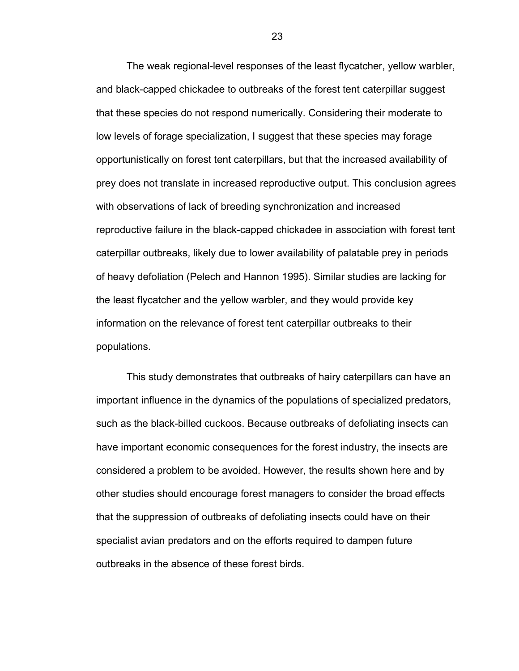The weak regional-level responses of the least flycatcher, yellow warbler, and black-capped chickadee to outbreaks of the forest tent caterpillar suggest that these species do not respond numerically. Considering their moderate to low levels of forage specialization, I suggest that these species may forage opportunistically on forest tent caterpillars, but that the increased availability of prey does not translate in increased reproductive output. This conclusion agrees with observations of lack of breeding synchronization and increased reproductive failure in the black-capped chickadee in association with forest tent caterpillar outbreaks, likely due to lower availability of palatable prey in periods of heavy defoliation (Pelech and Hannon 1995). Similar studies are lacking for the least flycatcher and the yellow warbler, and they would provide key information on the relevance of forest tent caterpillar outbreaks to their populations.

This study demonstrates that outbreaks of hairy caterpillars can have an important influence in the dynamics of the populations of specialized predators, such as the black-billed cuckoos. Because outbreaks of defoliating insects can have important economic consequences for the forest industry, the insects are considered a problem to be avoided. However, the results shown here and by other studies should encourage forest managers to consider the broad effects that the suppression of outbreaks of defoliating insects could have on their specialist avian predators and on the efforts required to dampen future outbreaks in the absence of these forest birds.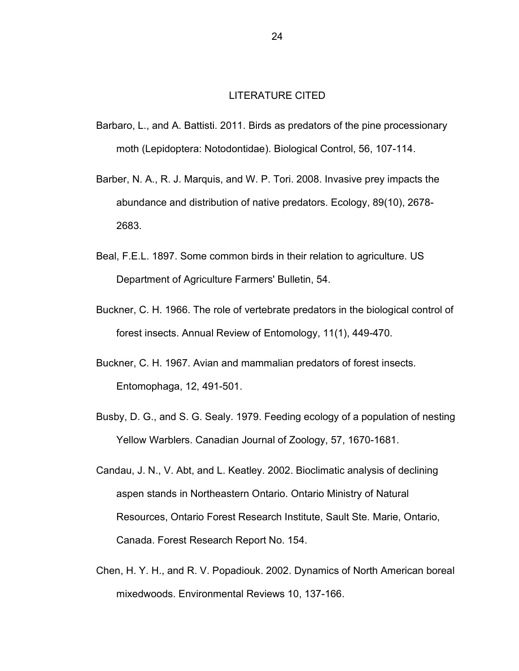#### LITERATURE CITED

- Barbaro, L., and A. Battisti. 2011. Birds as predators of the pine processionary moth (Lepidoptera: Notodontidae). Biological Control, 56, 107-114.
- Barber, N. A., R. J. Marquis, and W. P. Tori. 2008. Invasive prey impacts the abundance and distribution of native predators. Ecology, 89(10), 2678- 2683.
- Beal, F.E.L. 1897. Some common birds in their relation to agriculture. US Department of Agriculture Farmers' Bulletin, 54.
- Buckner, C. H. 1966. The role of vertebrate predators in the biological control of forest insects. Annual Review of Entomology, 11(1), 449-470.
- Buckner, C. H. 1967. Avian and mammalian predators of forest insects. Entomophaga, 12, 491-501.
- Busby, D. G., and S. G. Sealy. 1979. Feeding ecology of a population of nesting Yellow Warblers. Canadian Journal of Zoology, 57, 1670-1681.
- Candau, J. N., V. Abt, and L. Keatley. 2002. Bioclimatic analysis of declining aspen stands in Northeastern Ontario. Ontario Ministry of Natural Resources, Ontario Forest Research Institute, Sault Ste. Marie, Ontario, Canada. Forest Research Report No. 154.
- Chen, H. Y. H., and R. V. Popadiouk. 2002. Dynamics of North American boreal mixedwoods. Environmental Reviews 10, 137-166.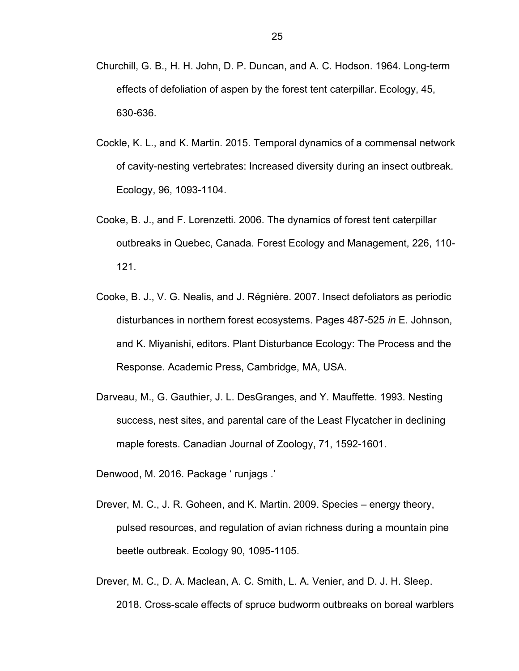- Churchill, G. B., H. H. John, D. P. Duncan, and A. C. Hodson. 1964. Long-term effects of defoliation of aspen by the forest tent caterpillar. Ecology, 45, 630-636.
- Cockle, K. L., and K. Martin. 2015. Temporal dynamics of a commensal network of cavity-nesting vertebrates: Increased diversity during an insect outbreak. Ecology, 96, 1093-1104.
- Cooke, B. J., and F. Lorenzetti. 2006. The dynamics of forest tent caterpillar outbreaks in Quebec, Canada. Forest Ecology and Management, 226, 110- 121.
- Cooke, B. J., V. G. Nealis, and J. Régnière. 2007. Insect defoliators as periodic disturbances in northern forest ecosystems. Pages 487-525 in E. Johnson, and K. Miyanishi, editors. Plant Disturbance Ecology: The Process and the Response. Academic Press, Cambridge, MA, USA.
- Darveau, M., G. Gauthier, J. L. DesGranges, and Y. Mauffette. 1993. Nesting success, nest sites, and parental care of the Least Flycatcher in declining maple forests. Canadian Journal of Zoology, 71, 1592-1601.
- Denwood, M. 2016. Package ' runjags .'
- Drever, M. C., J. R. Goheen, and K. Martin. 2009. Species energy theory, pulsed resources, and regulation of avian richness during a mountain pine beetle outbreak. Ecology 90, 1095-1105.
- Drever, M. C., D. A. Maclean, A. C. Smith, L. A. Venier, and D. J. H. Sleep. 2018. Cross-scale effects of spruce budworm outbreaks on boreal warblers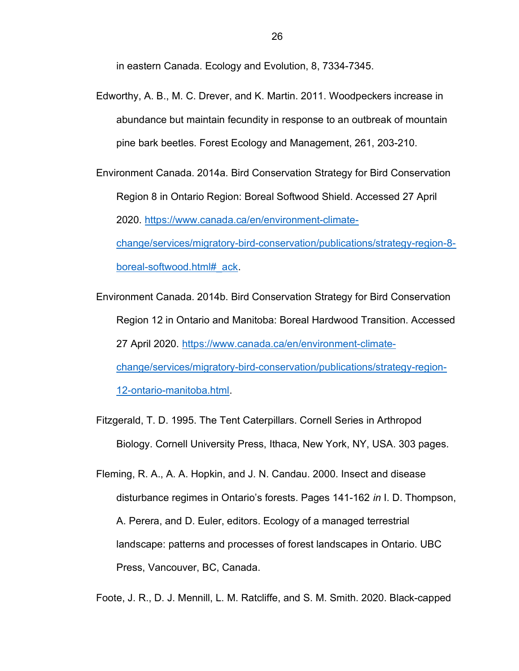in eastern Canada. Ecology and Evolution, 8, 7334-7345.

- Edworthy, A. B., M. C. Drever, and K. Martin. 2011. Woodpeckers increase in abundance but maintain fecundity in response to an outbreak of mountain pine bark beetles. Forest Ecology and Management, 261, 203-210.
- Environment Canada. 2014a. Bird Conservation Strategy for Bird Conservation Region 8 in Ontario Region: Boreal Softwood Shield. Accessed 27 April 2020. https://www.canada.ca/en/environment-climatechange/services/migratory-bird-conservation/publications/strategy-region-8 boreal-softwood.html#\_ack.
- Environment Canada. 2014b. Bird Conservation Strategy for Bird Conservation Region 12 in Ontario and Manitoba: Boreal Hardwood Transition. Accessed 27 April 2020. https://www.canada.ca/en/environment-climatechange/services/migratory-bird-conservation/publications/strategy-region-12-ontario-manitoba.html.
- Fitzgerald, T. D. 1995. The Tent Caterpillars. Cornell Series in Arthropod Biology. Cornell University Press, Ithaca, New York, NY, USA. 303 pages.
- Fleming, R. A., A. A. Hopkin, and J. N. Candau. 2000. Insect and disease disturbance regimes in Ontario's forests. Pages 141-162 in I. D. Thompson, A. Perera, and D. Euler, editors. Ecology of a managed terrestrial landscape: patterns and processes of forest landscapes in Ontario. UBC Press, Vancouver, BC, Canada.

Foote, J. R., D. J. Mennill, L. M. Ratcliffe, and S. M. Smith. 2020. Black-capped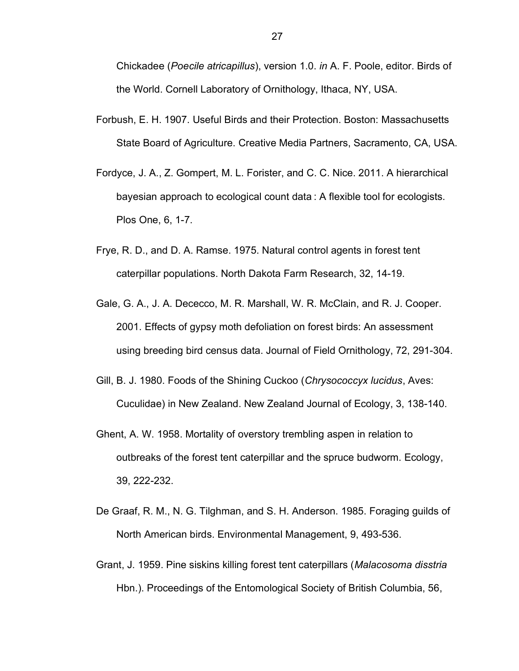Chickadee (Poecile atricapillus), version 1.0. in A. F. Poole, editor. Birds of the World. Cornell Laboratory of Ornithology, Ithaca, NY, USA.

- Forbush, E. H. 1907. Useful Birds and their Protection. Boston: Massachusetts State Board of Agriculture. Creative Media Partners, Sacramento, CA, USA.
- Fordyce, J. A., Z. Gompert, M. L. Forister, and C. C. Nice. 2011. A hierarchical bayesian approach to ecological count data : A flexible tool for ecologists. Plos One, 6, 1-7.
- Frye, R. D., and D. A. Ramse. 1975. Natural control agents in forest tent caterpillar populations. North Dakota Farm Research, 32, 14-19.
- Gale, G. A., J. A. Dececco, M. R. Marshall, W. R. McClain, and R. J. Cooper. 2001. Effects of gypsy moth defoliation on forest birds: An assessment using breeding bird census data. Journal of Field Ornithology, 72, 291-304.
- Gill, B. J. 1980. Foods of the Shining Cuckoo (Chrysococcyx lucidus, Aves: Cuculidae) in New Zealand. New Zealand Journal of Ecology, 3, 138-140.
- Ghent, A. W. 1958. Mortality of overstory trembling aspen in relation to outbreaks of the forest tent caterpillar and the spruce budworm. Ecology, 39, 222-232.
- De Graaf, R. M., N. G. Tilghman, and S. H. Anderson. 1985. Foraging guilds of North American birds. Environmental Management, 9, 493-536.
- Grant, J. 1959. Pine siskins killing forest tent caterpillars (Malacosoma disstria Hbn.). Proceedings of the Entomological Society of British Columbia, 56,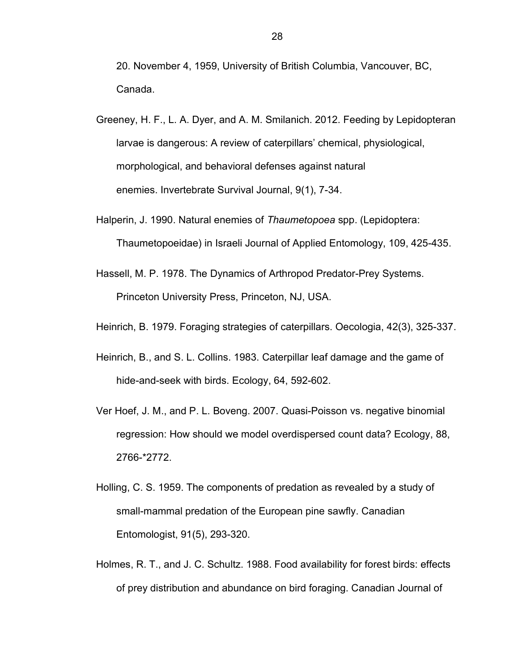20. November 4, 1959, University of British Columbia, Vancouver, BC, Canada.

- Greeney, H. F., L. A. Dyer, and A. M. Smilanich. 2012. Feeding by Lepidopteran larvae is dangerous: A review of caterpillars' chemical, physiological, morphological, and behavioral defenses against natural enemies. Invertebrate Survival Journal, 9(1), 7-34.
- Halperin, J. 1990. Natural enemies of Thaumetopoea spp. (Lepidoptera: Thaumetopoeidae) in Israeli Journal of Applied Entomology, 109, 425-435.
- Hassell, M. P. 1978. The Dynamics of Arthropod Predator-Prey Systems. Princeton University Press, Princeton, NJ, USA.
- Heinrich, B. 1979. Foraging strategies of caterpillars. Oecologia, 42(3), 325-337.
- Heinrich, B., and S. L. Collins. 1983. Caterpillar leaf damage and the game of hide-and-seek with birds. Ecology, 64, 592-602.
- Ver Hoef, J. M., and P. L. Boveng. 2007. Quasi-Poisson vs. negative binomial regression: How should we model overdispersed count data? Ecology, 88, 2766-\*2772.
- Holling, C. S. 1959. The components of predation as revealed by a study of small-mammal predation of the European pine sawfly. Canadian Entomologist, 91(5), 293-320.
- Holmes, R. T., and J. C. Schultz. 1988. Food availability for forest birds: effects of prey distribution and abundance on bird foraging. Canadian Journal of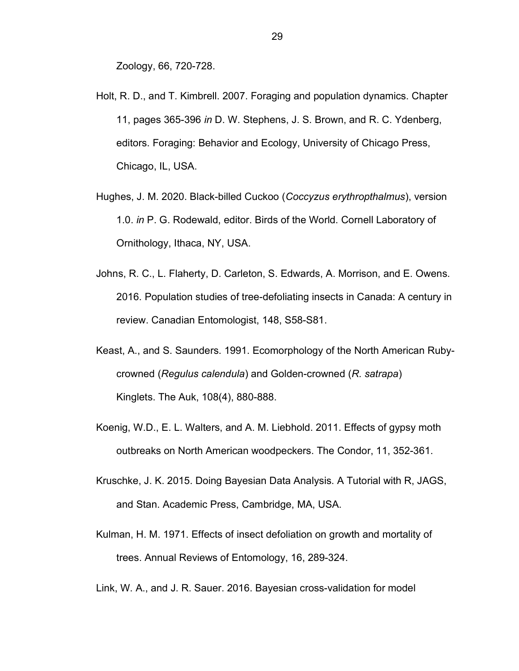Zoology, 66, 720-728.

- Holt, R. D., and T. Kimbrell. 2007. Foraging and population dynamics. Chapter 11, pages 365-396 in D. W. Stephens, J. S. Brown, and R. C. Ydenberg, editors. Foraging: Behavior and Ecology, University of Chicago Press, Chicago, IL, USA.
- Hughes, J. M. 2020. Black-billed Cuckoo (Coccyzus erythropthalmus), version 1.0. in P. G. Rodewald, editor. Birds of the World. Cornell Laboratory of Ornithology, Ithaca, NY, USA.
- Johns, R. C., L. Flaherty, D. Carleton, S. Edwards, A. Morrison, and E. Owens. 2016. Population studies of tree-defoliating insects in Canada: A century in review. Canadian Entomologist, 148, S58-S81.
- Keast, A., and S. Saunders. 1991. Ecomorphology of the North American Rubycrowned (Regulus calendula) and Golden-crowned (R. satrapa) Kinglets. The Auk, 108(4), 880-888.
- Koenig, W.D., E. L. Walters, and A. M. Liebhold. 2011. Effects of gypsy moth outbreaks on North American woodpeckers. The Condor, 11, 352-361.
- Kruschke, J. K. 2015. Doing Bayesian Data Analysis. A Tutorial with R, JAGS, and Stan. Academic Press, Cambridge, MA, USA.
- Kulman, H. M. 1971. Effects of insect defoliation on growth and mortality of trees. Annual Reviews of Entomology, 16, 289-324.
- Link, W. A., and J. R. Sauer. 2016. Bayesian cross-validation for model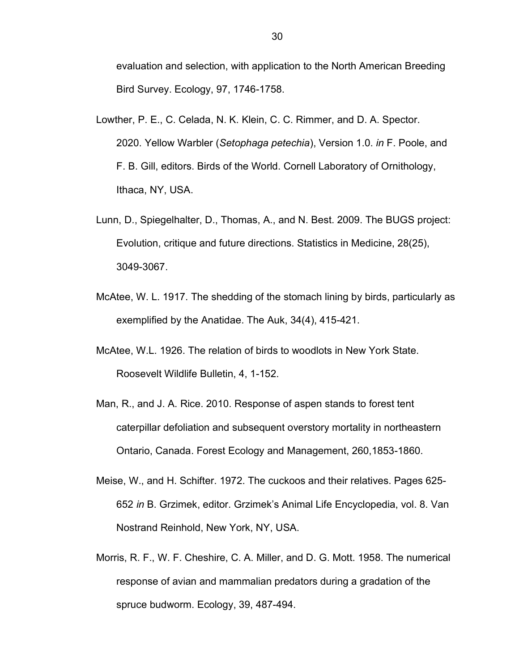evaluation and selection, with application to the North American Breeding Bird Survey. Ecology, 97, 1746-1758.

- Lowther, P. E., C. Celada, N. K. Klein, C. C. Rimmer, and D. A. Spector. 2020. Yellow Warbler (Setophaga petechia), Version 1.0. in F. Poole, and F. B. Gill, editors. Birds of the World. Cornell Laboratory of Ornithology, Ithaca, NY, USA.
- Lunn, D., Spiegelhalter, D., Thomas, A., and N. Best. 2009. The BUGS project: Evolution, critique and future directions. Statistics in Medicine, 28(25), 3049-3067.
- McAtee, W. L. 1917. The shedding of the stomach lining by birds, particularly as exemplified by the Anatidae. The Auk, 34(4), 415-421.
- McAtee, W.L. 1926. The relation of birds to woodlots in New York State. Roosevelt Wildlife Bulletin, 4, 1-152.
- Man, R., and J. A. Rice. 2010. Response of aspen stands to forest tent caterpillar defoliation and subsequent overstory mortality in northeastern Ontario, Canada. Forest Ecology and Management, 260,1853-1860.
- Meise, W., and H. Schifter. 1972. The cuckoos and their relatives. Pages 625- 652 in B. Grzimek, editor. Grzimek's Animal Life Encyclopedia, vol. 8. Van Nostrand Reinhold, New York, NY, USA.
- Morris, R. F., W. F. Cheshire, C. A. Miller, and D. G. Mott. 1958. The numerical response of avian and mammalian predators during a gradation of the spruce budworm. Ecology, 39, 487-494.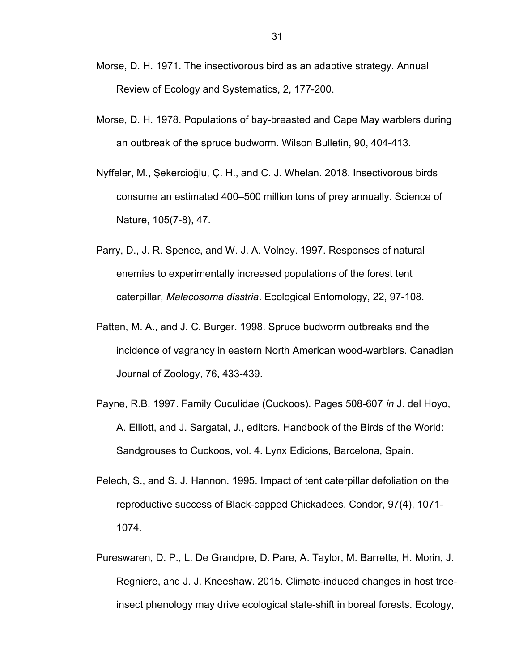- Morse, D. H. 1971. The insectivorous bird as an adaptive strategy. Annual Review of Ecology and Systematics, 2, 177-200.
- Morse, D. H. 1978. Populations of bay-breasted and Cape May warblers during an outbreak of the spruce budworm. Wilson Bulletin, 90, 404-413.
- Nyffeler, M., Şekercioğlu, Ç. H., and C. J. Whelan. 2018. Insectivorous birds consume an estimated 400–500 million tons of prey annually. Science of Nature, 105(7-8), 47.
- Parry, D., J. R. Spence, and W. J. A. Volney. 1997. Responses of natural enemies to experimentally increased populations of the forest tent caterpillar, Malacosoma disstria. Ecological Entomology, 22, 97-108.
- Patten, M. A., and J. C. Burger. 1998. Spruce budworm outbreaks and the incidence of vagrancy in eastern North American wood-warblers. Canadian Journal of Zoology, 76, 433-439.
- Payne, R.B. 1997. Family Cuculidae (Cuckoos). Pages 508-607 in J. del Hoyo, A. Elliott, and J. Sargatal, J., editors. Handbook of the Birds of the World: Sandgrouses to Cuckoos, vol. 4. Lynx Edicions, Barcelona, Spain.
- Pelech, S., and S. J. Hannon. 1995. Impact of tent caterpillar defoliation on the reproductive success of Black-capped Chickadees. Condor, 97(4), 1071- 1074.
- Pureswaren, D. P., L. De Grandpre, D. Pare, A. Taylor, M. Barrette, H. Morin, J. Regniere, and J. J. Kneeshaw. 2015. Climate-induced changes in host treeinsect phenology may drive ecological state-shift in boreal forests. Ecology,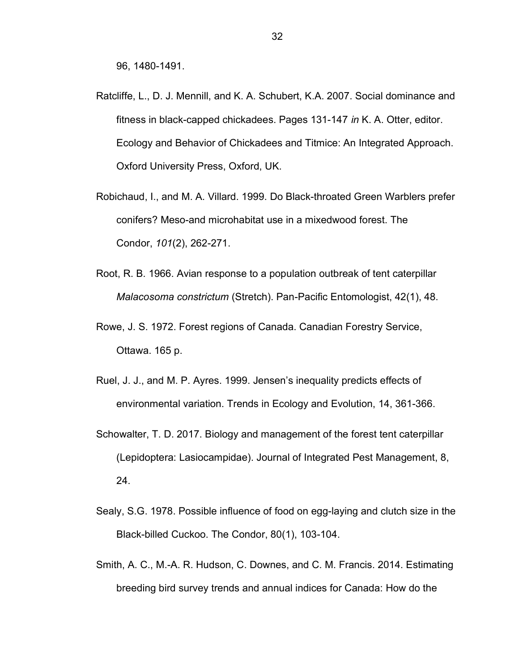96, 1480-1491.

- Ratcliffe, L., D. J. Mennill, and K. A. Schubert, K.A. 2007. Social dominance and fitness in black-capped chickadees. Pages 131-147 in K. A. Otter, editor. Ecology and Behavior of Chickadees and Titmice: An Integrated Approach. Oxford University Press, Oxford, UK.
- Robichaud, I., and M. A. Villard. 1999. Do Black-throated Green Warblers prefer conifers? Meso-and microhabitat use in a mixedwood forest. The Condor, 101(2), 262-271.
- Root, R. B. 1966. Avian response to a population outbreak of tent caterpillar Malacosoma constrictum (Stretch). Pan-Pacific Entomologist, 42(1), 48.
- Rowe, J. S. 1972. Forest regions of Canada. Canadian Forestry Service, Ottawa. 165 p.
- Ruel, J. J., and M. P. Ayres. 1999. Jensen's inequality predicts effects of environmental variation. Trends in Ecology and Evolution, 14, 361-366.
- Schowalter, T. D. 2017. Biology and management of the forest tent caterpillar (Lepidoptera: Lasiocampidae). Journal of Integrated Pest Management, 8, 24.
- Sealy, S.G. 1978. Possible influence of food on egg-laying and clutch size in the Black-billed Cuckoo. The Condor, 80(1), 103-104.
- Smith, A. C., M.-A. R. Hudson, C. Downes, and C. M. Francis. 2014. Estimating breeding bird survey trends and annual indices for Canada: How do the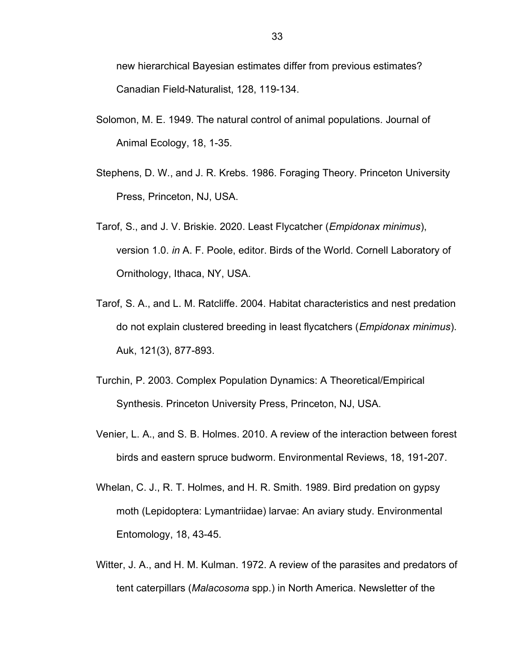new hierarchical Bayesian estimates differ from previous estimates? Canadian Field-Naturalist, 128, 119-134.

- Solomon, M. E. 1949. The natural control of animal populations. Journal of Animal Ecology, 18, 1-35.
- Stephens, D. W., and J. R. Krebs. 1986. Foraging Theory. Princeton University Press, Princeton, NJ, USA.
- Tarof, S., and J. V. Briskie. 2020. Least Flycatcher (Empidonax minimus), version 1.0. in A. F. Poole, editor. Birds of the World. Cornell Laboratory of Ornithology, Ithaca, NY, USA.
- Tarof, S. A., and L. M. Ratcliffe. 2004. Habitat characteristics and nest predation do not explain clustered breeding in least flycatchers (Empidonax minimus). Auk, 121(3), 877-893.
- Turchin, P. 2003. Complex Population Dynamics: A Theoretical/Empirical Synthesis. Princeton University Press, Princeton, NJ, USA.
- Venier, L. A., and S. B. Holmes. 2010. A review of the interaction between forest birds and eastern spruce budworm. Environmental Reviews, 18, 191-207.
- Whelan, C. J., R. T. Holmes, and H. R. Smith. 1989. Bird predation on gypsy moth (Lepidoptera: Lymantriidae) larvae: An aviary study. Environmental Entomology, 18, 43-45.
- Witter, J. A., and H. M. Kulman. 1972. A review of the parasites and predators of tent caterpillars (Malacosoma spp.) in North America. Newsletter of the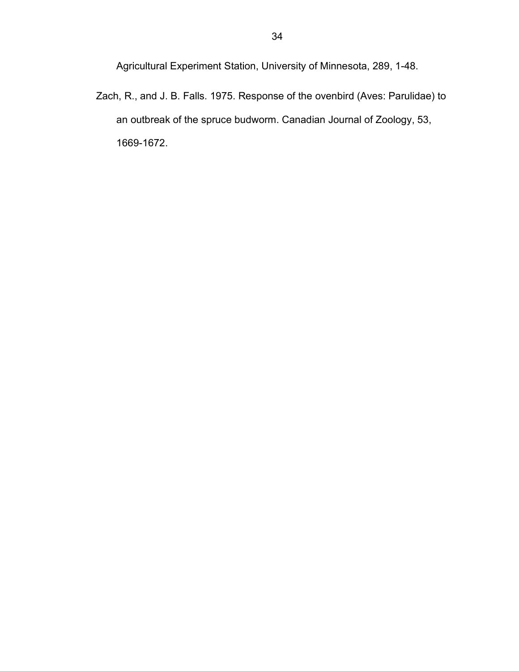Agricultural Experiment Station, University of Minnesota, 289, 1-48.

Zach, R., and J. B. Falls. 1975. Response of the ovenbird (Aves: Parulidae) to an outbreak of the spruce budworm. Canadian Journal of Zoology, 53, 1669-1672.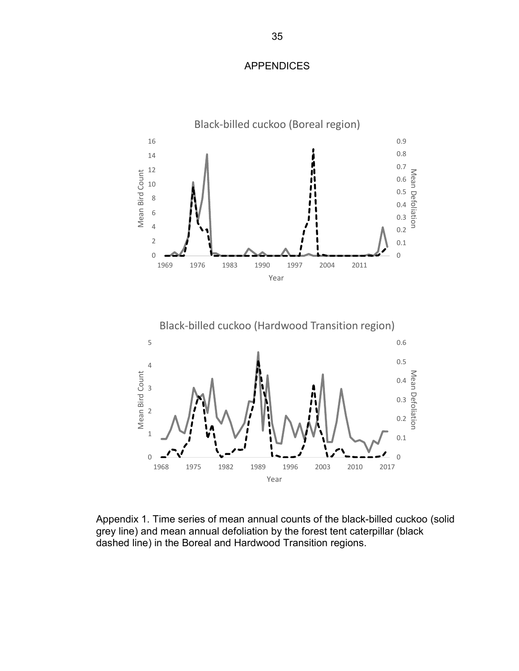#### APPENDICES



Appendix 1. Time series of mean annual counts of the black-billed cuckoo (solid grey line) and mean annual defoliation by the forest tent caterpillar (black dashed line) in the Boreal and Hardwood Transition regions.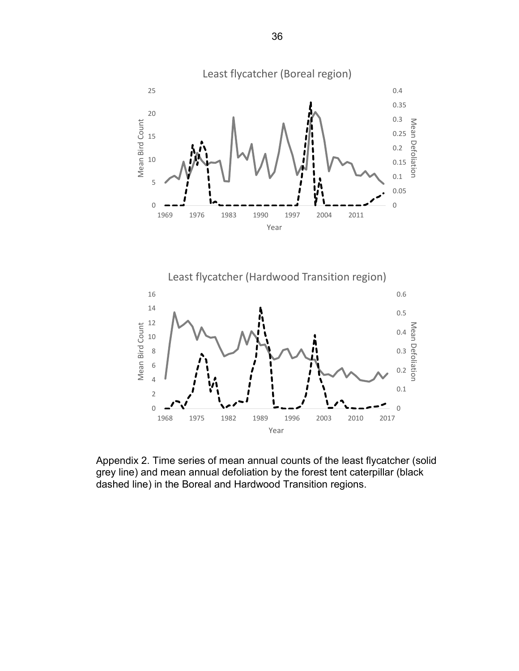



Appendix 2. Time series of mean annual counts of the least flycatcher (solid grey line) and mean annual defoliation by the forest tent caterpillar (black dashed line) in the Boreal and Hardwood Transition regions.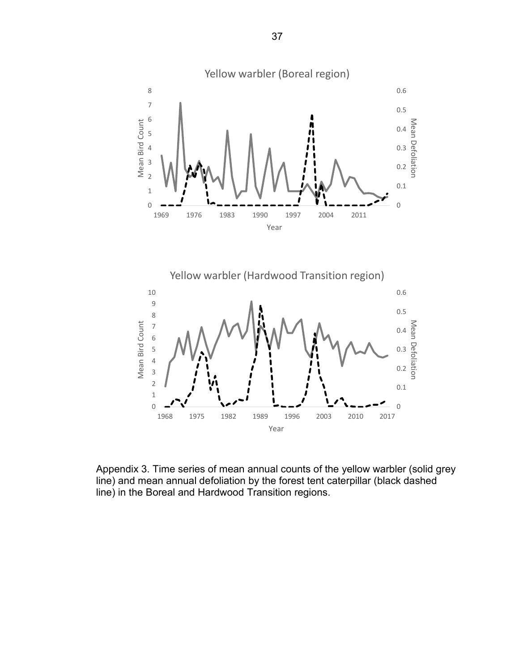

Appendix 3. Time series of mean annual counts of the yellow warbler (solid grey line) and mean annual defoliation by the forest tent caterpillar (black dashed line) in the Boreal and Hardwood Transition regions.